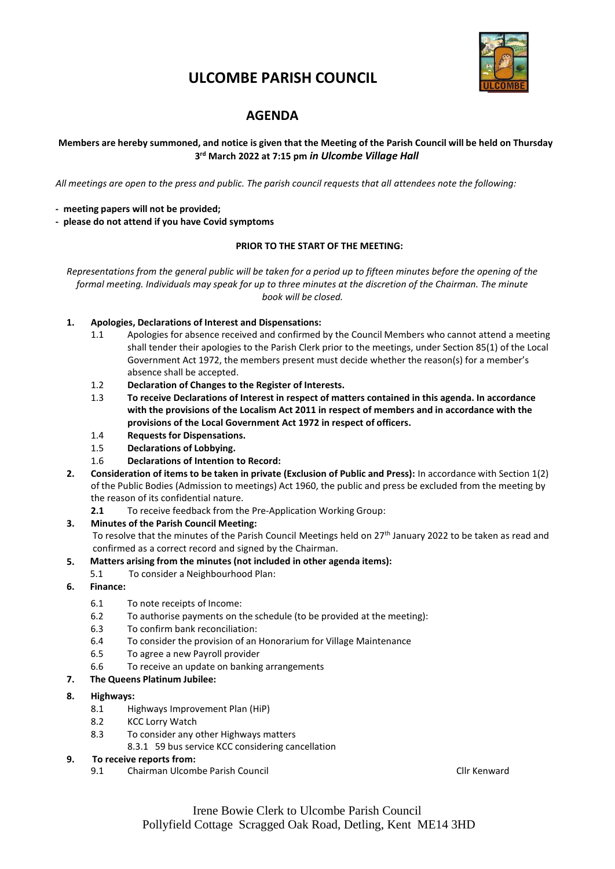

# **ULCOMBE PARISH COUNCIL**

# **AGENDA**

# Members are hereby summoned, and notice is given that the Meeting of the Parish Council will be held on Thursday **3 rd March 2022 at 7:15 pm** *in Ulcombe Village Hall*

All meetings are open to the press and public. The parish council requests that all attendees note the following:

- **- meeting papers will not be provided;**
- **- please do not attend if you have Covid symptoms**

#### **PRIOR TO THE START OF THE MEETING:**

*Representations from the general public will be taken for a period up to fifteen minutes before the opening of the formal meeting. Individuals may speak for up to three minutes at the discretion of the Chairman. The minute book will be closed.*

- **1. Apologies, Declarations of Interest and Dispensations:**
	- 1.1 Apologies for absence received and confirmed by the Council Members who cannot attend a meeting shall tender their apologies to the Parish Clerk prior to the meetings, under Section 85(1) of the Local Government Act 1972, the members present must decide whether the reason(s) for a member's absence shall be accepted.
	- 1.2 **Declaration of Changes to the Register of Interests.**
	- 1.3 **To receive Declarations of Interest in respect of matters contained in this agenda. In accordance with the provisions of the Localism Act 2011 in respect of members and in accordance with the provisions of the Local Government Act 1972 in respect of officers.**
	- 1.4 **Requests for Dispensations.**
	- 1.5 **Declarations of Lobbying.**
	- 1.6 **Declarations of Intention to Record:**
- **2. Consideration of items to be taken in private (Exclusion of Public and Press):** In accordance with Section 1(2) of the Public Bodies (Admission to meetings) Act 1960, the public and press be excluded from the meeting by the reason of its confidential nature.
	- **2.1** To receive feedback from the Pre-Application Working Group:

#### **3. Minutes of the Parish Council Meeting:**

- To resolve that the minutes of the Parish Council Meetings held on  $27<sup>th</sup>$  January 2022 to be taken as read and confirmed as a correct record and signed by the Chairman.
- **5. Matters arising from the minutes (not included in other agenda items):**
	- 5.1 To consider a Neighbourhood Plan:
- **6. Finance:**
	- 6.1 To note receipts of Income:
	- 6.2 To authorise payments on the schedule (to be provided at the meeting):
	- 6.3 To confirm bank reconciliation:
	- 6.4 To consider the provision of an Honorarium for Village Maintenance
	- 6.5 To agree a new Payroll provider
	- 6.6 To receive an update on banking arrangements
- **7. The Queens Platinum Jubilee:**

#### **8. Highways:**

- 8.1 Highways Improvement Plan (HiP)
- 8.2 KCC Lorry Watch
- 8.3 To consider any other Highways matters
	- 8.3.1 59 bus service KCC considering cancellation

# **9. To receive reports from:**

9.1 Chairman Ulcombe Parish Council Clinical Club Clinical Clinical Clinical Clinical Clinical Clinical Clinical Clinical Clinical Clinical Clinical Clinical Clinical Clinical Clinical Clinical Clinical Clinical Clinical C

Irene Bowie Clerk to Ulcombe Parish Council Pollyfield Cottage Scragged Oak Road, Detling, Kent ME14 3HD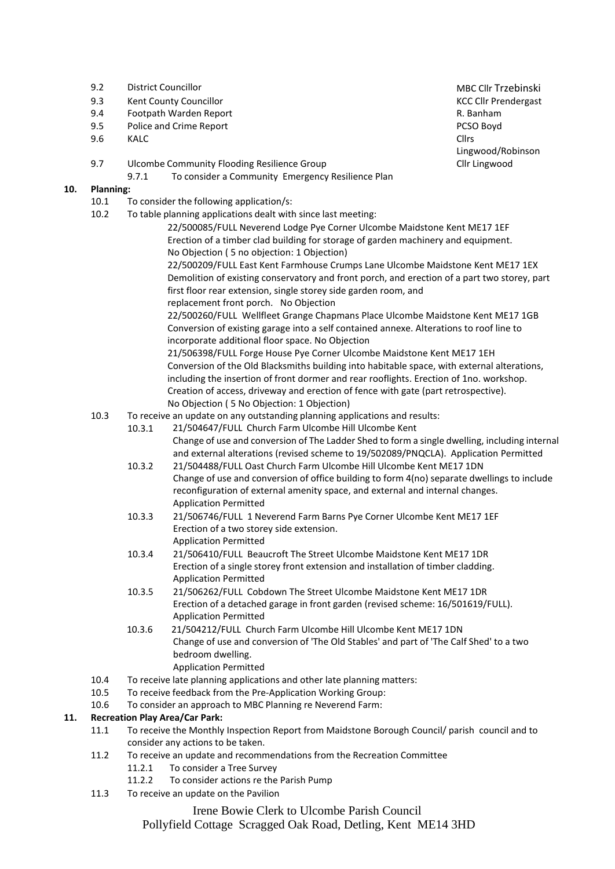- 9.2 District Councillor MBC Clif Trzebinski
- 9.3 Kent County Councillor Community Councillor County Councillor County Council County Council County Council County Council County Council County Council County Council County Council County Council Council Council Counc
- 9.4 Footpath Warden Report R. Banham
- 9.5 Police and Crime Report **PCSO Boyd** PCSO Boyd
- 9.6 KALC Cllrs
- 9.7 Ulcombe Community Flooding Resilience Group
	- 9.7.1 To consider a Community Emergency Resilience Plan

# **10. Planning:**

- 10.1 To consider the following application/s:
- 10.2 To table planning applications dealt with since last meeting:
	- 22/500085/FULL Neverend Lodge Pye Corner Ulcombe Maidstone Kent ME17 1EF Erection of a timber clad building for storage of garden machinery and equipment. No Objection ( 5 no objection: 1 Objection)
	- 22/500209/FULL East Kent Farmhouse Crumps Lane Ulcombe Maidstone Kent ME17 1EX Demolition of existing conservatory and front porch, and erection of a part two storey, part first floor rear extension, single storey side garden room, and replacement front porch. No Objection
	- 22/500260/FULL Wellfleet Grange Chapmans Place Ulcombe Maidstone Kent ME17 1GB Conversion of existing garage into a self contained annexe. Alterations to roof line to incorporate additional floor space. No Objection

21/506398/FULL Forge House Pye Corner Ulcombe Maidstone Kent ME17 1EH Conversion of the Old Blacksmiths building into habitable space, with external alterations, including the insertion of front dormer and rear rooflights. Erection of 1no. workshop. Creation of access, driveway and erection of fence with gate (part retrospective). No Objection ( 5 No Objection: 1 Objection)

- 10.3 To receive an update on any outstanding planning applications and results:
	- 10.3.1 21/504647/FULL Church Farm Ulcombe Hill Ulcombe Kent Change of use and conversion of The Ladder Shed to form a single dwelling, including internal and external alterations (revised scheme to 19/502089/PNQCLA). Application Permitted
	- 10.3.2 21/504488/FULL Oast Church Farm Ulcombe Hill Ulcombe Kent ME17 1DN Change of use and conversion of office building to form 4(no) separate dwellings to include reconfiguration of external amenity space, and external and internal changes. Application Permitted
	- 10.3.3 21/506746/FULL 1 Neverend Farm Barns Pye Corner Ulcombe Kent ME17 1EF Erection of a two storey side extension. Application Permitted
	- 10.3.4 21/506410/FULL Beaucroft The Street Ulcombe Maidstone Kent ME17 1DR Erection of a single storey front extension and installation of timber cladding. Application Permitted
	- 10.3.5 21/506262/FULL Cobdown The Street Ulcombe Maidstone Kent ME17 1DR Erection of a detached garage in front garden (revised scheme: 16/501619/FULL). Application Permitted
	- 10.3.6 21/504212/FULL Church Farm Ulcombe Hill Ulcombe Kent ME17 1DN Change of use and conversion of 'The Old Stables' and part of 'The Calf Shed' to a two bedroom dwelling. Application Permitted
- 10.4 To receive late planning applications and other late planning matters:
- 10.5 To receive feedback from the Pre-Application Working Group:
- 10.6 To consider an approach to MBC Planning re Neverend Farm:

# **11. Recreation Play Area/Car Park:**

- 11.1 To receive the Monthly Inspection Report from Maidstone Borough Council/ parish council and to consider any actions to be taken.
- 11.2 To receive an update and recommendations from the Recreation Committee
	- 11.2.1 To consider a Tree Survey
	- 11.2.2 To consider actions re the Parish Pump
- 11.3 To receive an update on the Pavilion

Irene Bowie Clerk to Ulcombe Parish Council

Pollyfield Cottage Scragged Oak Road, Detling, Kent ME14 3HD

Lingwood/Robinson Cllr Lingwood